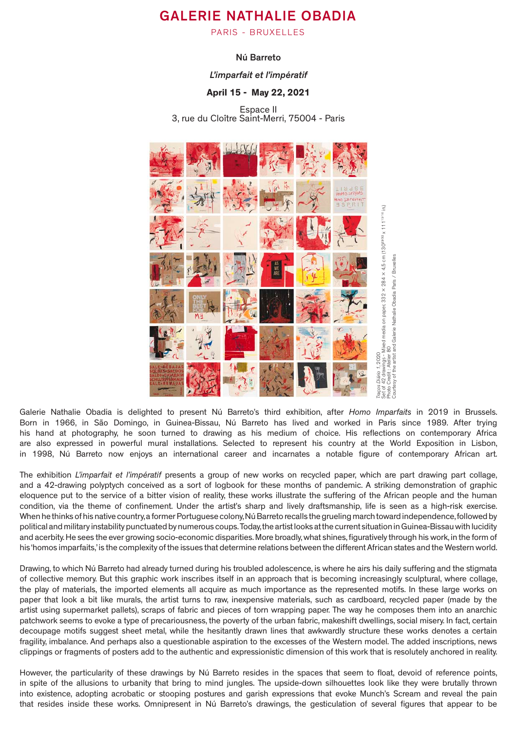# GALERIE NATHALIE OBADIA

PARIS - BRUXELLES

## Nú Barreto

## *L'imparfait et l'impératif*

# April 15 - May 22, 2021

Espace II 3, rue du Cloître Saint-Merri, 75004 - Paris



Galerie Nathalie Obadia is delighted to present Nú Barreto's third exhibition, after *Homo Imparfaits* in 2019 in Brussels. Born in 1966, in São Domingo, in Guinea-Bissau, Nú Barreto has lived and worked in Paris since 1989. After trying his hand at photography, he soon turned to drawing as his medium of choice. His reflections on contemporary Africa are also expressed in powerful mural installations. Selected to represent his country at the World Exposition in Lisbon, in 1998, Nú Barreto now enjoys an international career and incarnates a notable figure of contemporary African art.

The exhibition *L'imparfait et l'impératif* presents a group of new works on recycled paper, which are part drawing part collage, and a 42-drawing polyptych conceived as a sort of logbook for these months of pandemic. A striking demonstration of graphic eloquence put to the service of a bitter vision of reality, these works illustrate the suffering of the African people and the human condition, via the theme of confinement. Under the artist's sharp and lively draftsmanship, life is seen as a high-risk exercise. When he thinks of his native country, a former Portuguese colony, Nú Barreto recalls the grueling march toward independence, followed by political and military instability punctuated by numerous coups. Today, the artist looks at the current situation in Guinea-Bissau with lucidity and acerbity. He sees the ever growing socio-economic disparities. More broadly, what shines, figuratively through his work, in the form of his 'homos imparfaits,' is the complexity of the issues that determine relations between the different African states and the Western world.

Drawing, to which Nú Barreto had already turned during his troubled adolescence, is where he airs his daily suffering and the stigmata of collective memory. But this graphic work inscribes itself in an approach that is becoming increasingly sculptural, where collage, the play of materials, the imported elements all acquire as much importance as the represented motifs. In these large works on paper that look a bit like murals, the artist turns to raw, inexpensive materials, such as cardboard, recycled paper (made by the artist using supermarket pallets), scraps of fabric and pieces of torn wrapping paper. The way he composes them into an anarchic patchwork seems to evoke a type of precariousness, the poverty of the urban fabric, makeshift dwellings, social misery. In fact, certain decoupage motifs suggest sheet metal, while the hesitantly drawn lines that awkwardly structure these works denotes a certain fragility, imbalance. And perhaps also a questionable aspiration to the excesses of the Western model. The added inscriptions, news clippings or fragments of posters add to the authentic and expressionistic dimension of this work that is resolutely anchored in reality.

However, the particularity of these drawings by Nú Barreto resides in the spaces that seem to float, devoid of reference points, in spite of the allusions to urbanity that bring to mind jungles. The upside-down silhouettes look like they were brutally thrown into existence, adopting acrobatic or stooping postures and garish expressions that evoke Munch's Scream and reveal the pain that resides inside these works. Omnipresent in Nú Barreto's drawings, the gesticulation of several figures that appear to be